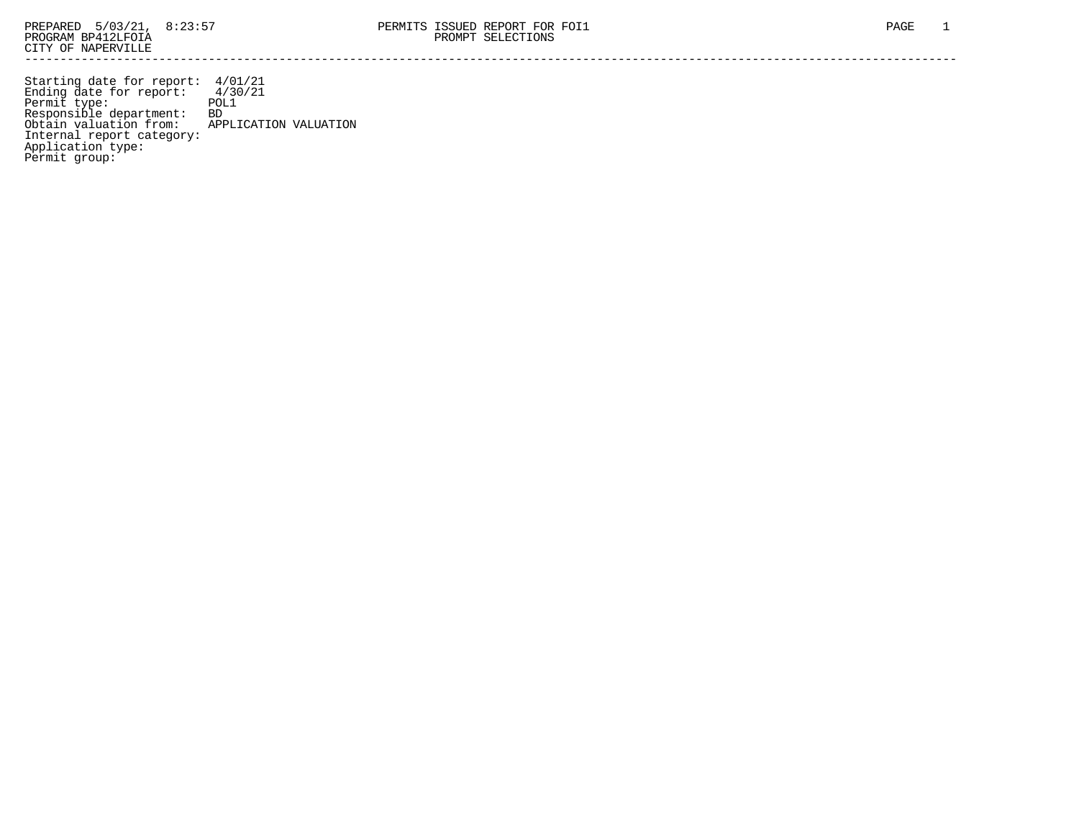Starting date for report: 4/01/21 Ending date for report: 4/30/21 Permit type: POL1 Responsible department: BD Obtain valuation from: APPLICATION VALUATION Internal report category: Application type: Permit group: